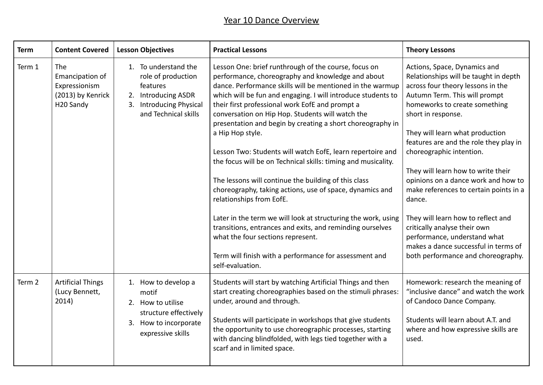## Year 10 Dance Overview

| <b>Term</b> | <b>Content Covered</b>                                                                | <b>Lesson Objectives</b>                                                                                                         | <b>Practical Lessons</b>                                                                                                                                                                                                                                                                                                                                                                                                                                                                                                                                                                                                                                                                                                                                                        | <b>Theory Lessons</b>                                                                                                                                                                                                                                                                                                                                                                                                                                                              |
|-------------|---------------------------------------------------------------------------------------|----------------------------------------------------------------------------------------------------------------------------------|---------------------------------------------------------------------------------------------------------------------------------------------------------------------------------------------------------------------------------------------------------------------------------------------------------------------------------------------------------------------------------------------------------------------------------------------------------------------------------------------------------------------------------------------------------------------------------------------------------------------------------------------------------------------------------------------------------------------------------------------------------------------------------|------------------------------------------------------------------------------------------------------------------------------------------------------------------------------------------------------------------------------------------------------------------------------------------------------------------------------------------------------------------------------------------------------------------------------------------------------------------------------------|
| Term 1      | The<br>Emancipation of<br>Expressionism<br>(2013) by Kenrick<br>H <sub>20</sub> Sandy | 1. To understand the<br>role of production<br>features<br>2. Introducing ASDR<br>3. Introducing Physical<br>and Technical skills | Lesson One: brief runthrough of the course, focus on<br>performance, choreography and knowledge and about<br>dance. Performance skills will be mentioned in the warmup<br>which will be fun and engaging. I will introduce students to<br>their first professional work EofE and prompt a<br>conversation on Hip Hop. Students will watch the<br>presentation and begin by creating a short choreography in<br>a Hip Hop style.<br>Lesson Two: Students will watch EofE, learn repertoire and<br>the focus will be on Technical skills: timing and musicality.<br>The lessons will continue the building of this class<br>choreography, taking actions, use of space, dynamics and<br>relationships from EofE.<br>Later in the term we will look at structuring the work, using | Actions, Space, Dynamics and<br>Relationships will be taught in depth<br>across four theory lessons in the<br>Autumn Term. This will prompt<br>homeworks to create something<br>short in response.<br>They will learn what production<br>features are and the role they play in<br>choreographic intention.<br>They will learn how to write their<br>opinions on a dance work and how to<br>make references to certain points in a<br>dance.<br>They will learn how to reflect and |
|             |                                                                                       |                                                                                                                                  | transitions, entrances and exits, and reminding ourselves<br>what the four sections represent.<br>Term will finish with a performance for assessment and<br>self-evaluation.                                                                                                                                                                                                                                                                                                                                                                                                                                                                                                                                                                                                    | critically analyse their own<br>performance, understand what<br>makes a dance successful in terms of<br>both performance and choreography.                                                                                                                                                                                                                                                                                                                                         |
| Term 2      | <b>Artificial Things</b><br>(Lucy Bennett,<br>2014)                                   | 1. How to develop a<br>motif<br>2. How to utilise<br>structure effectively<br>3. How to incorporate<br>expressive skills         | Students will start by watching Artificial Things and then<br>start creating choreographies based on the stimuli phrases:<br>under, around and through.<br>Students will participate in workshops that give students<br>the opportunity to use choreographic processes, starting<br>with dancing blindfolded, with legs tied together with a<br>scarf and in limited space.                                                                                                                                                                                                                                                                                                                                                                                                     | Homework: research the meaning of<br>"inclusive dance" and watch the work<br>of Candoco Dance Company.<br>Students will learn about A.T. and<br>where and how expressive skills are<br>used.                                                                                                                                                                                                                                                                                       |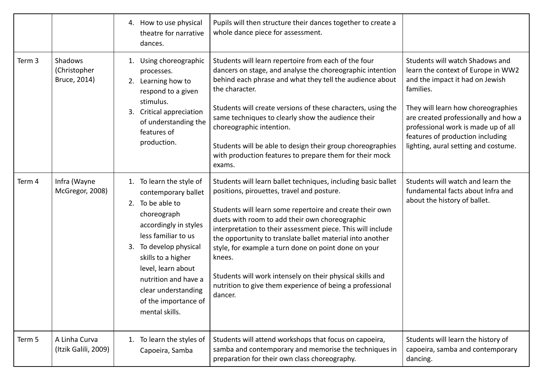|        |                                         | 4. How to use physical<br>theatre for narrative<br>dances.                                                                                                                                                                                                                                           | Pupils will then structure their dances together to create a<br>whole dance piece for assessment.                                                                                                                                                                                                                                                                                                                                                                                                                                                            |                                                                                                                                                                                                                                                                                                                        |
|--------|-----------------------------------------|------------------------------------------------------------------------------------------------------------------------------------------------------------------------------------------------------------------------------------------------------------------------------------------------------|--------------------------------------------------------------------------------------------------------------------------------------------------------------------------------------------------------------------------------------------------------------------------------------------------------------------------------------------------------------------------------------------------------------------------------------------------------------------------------------------------------------------------------------------------------------|------------------------------------------------------------------------------------------------------------------------------------------------------------------------------------------------------------------------------------------------------------------------------------------------------------------------|
| Term 3 | Shadows<br>(Christopher<br>Bruce, 2014) | Using choreographic<br>1.<br>processes.<br>Learning how to<br>2.<br>respond to a given<br>stimulus.<br>Critical appreciation<br>3.<br>of understanding the<br>features of<br>production.                                                                                                             | Students will learn repertoire from each of the four<br>dancers on stage, and analyse the choreographic intention<br>behind each phrase and what they tell the audience about<br>the character.<br>Students will create versions of these characters, using the<br>same techniques to clearly show the audience their<br>choreographic intention.<br>Students will be able to design their group choreographies<br>with production features to prepare them for their mock<br>exams.                                                                         | Students will watch Shadows and<br>learn the context of Europe in WW2<br>and the impact it had on Jewish<br>families.<br>They will learn how choreographies<br>are created professionally and how a<br>professional work is made up of all<br>features of production including<br>lighting, aural setting and costume. |
| Term 4 | Infra (Wayne<br>McGregor, 2008)         | 1. To learn the style of<br>contemporary ballet<br>2. To be able to<br>choreograph<br>accordingly in styles<br>less familiar to us<br>To develop physical<br>3.<br>skills to a higher<br>level, learn about<br>nutrition and have a<br>clear understanding<br>of the importance of<br>mental skills. | Students will learn ballet techniques, including basic ballet<br>positions, pirouettes, travel and posture.<br>Students will learn some repertoire and create their own<br>duets with room to add their own choreographic<br>interpretation to their assessment piece. This will include<br>the opportunity to translate ballet material into another<br>style, for example a turn done on point done on your<br>knees.<br>Students will work intensely on their physical skills and<br>nutrition to give them experience of being a professional<br>dancer. | Students will watch and learn the<br>fundamental facts about Infra and<br>about the history of ballet.                                                                                                                                                                                                                 |
| Term 5 | A Linha Curva<br>(Itzik Galili, 2009)   | To learn the styles of<br>1.<br>Capoeira, Samba                                                                                                                                                                                                                                                      | Students will attend workshops that focus on capoeira,<br>samba and contemporary and memorise the techniques in<br>preparation for their own class choreography.                                                                                                                                                                                                                                                                                                                                                                                             | Students will learn the history of<br>capoeira, samba and contemporary<br>dancing.                                                                                                                                                                                                                                     |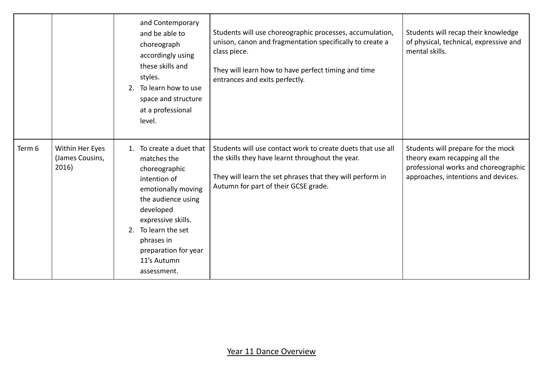|        |                                             | and Contemporary<br>and be able to<br>choreograph<br>accordingly using<br>these skills and<br>styles.<br>To learn how to use<br>2.<br>space and structure<br>at a professional<br>level.                                                                       | Students will use choreographic processes, accumulation,<br>unison, canon and fragmentation specifically to create a<br>class piece.<br>They will learn how to have perfect timing and time<br>entrances and exits perfectly. | Students will recap their knowledge<br>of physical, technical, expressive and<br>mental skills.                                                    |
|--------|---------------------------------------------|----------------------------------------------------------------------------------------------------------------------------------------------------------------------------------------------------------------------------------------------------------------|-------------------------------------------------------------------------------------------------------------------------------------------------------------------------------------------------------------------------------|----------------------------------------------------------------------------------------------------------------------------------------------------|
| Term 6 | Within Her Eyes<br>(James Cousins,<br>2016) | To create a duet that<br>$1_{\cdot}$<br>matches the<br>choreographic<br>intention of<br>emotionally moving<br>the audience using<br>developed<br>expressive skills.<br>2. To learn the set<br>phrases in<br>preparation for year<br>11's Autumn<br>assessment. | Students will use contact work to create duets that use all<br>the skills they have learnt throughout the year.<br>They will learn the set phrases that they will perform in<br>Autumn for part of their GCSE grade.          | Students will prepare for the mock<br>theory exam recapping all the<br>professional works and choreographic<br>approaches, intentions and devices. |